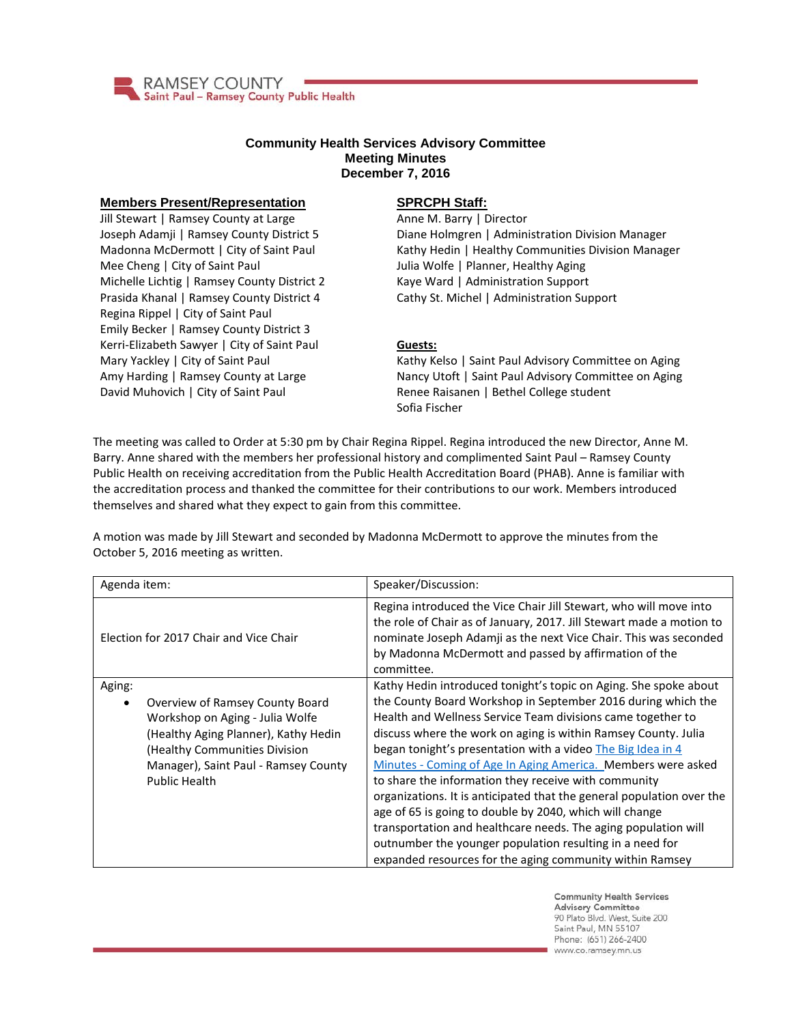

## **Community Health Services Advisory Committee Meeting Minutes December 7, 2016**

## **Members Present/Representation**

Jill Stewart | Ramsey County at Large Joseph Adamji | Ramsey County District 5 Madonna McDermott | City of Saint Paul Mee Cheng | City of Saint Paul Michelle Lichtig | Ramsey County District 2 Prasida Khanal | Ramsey County District 4 Regina Rippel | City of Saint Paul Emily Becker | Ramsey County District 3 Kerri-Elizabeth Sawyer | City of Saint Paul Mary Yackley | City of Saint Paul Amy Harding | Ramsey County at Large David Muhovich | City of Saint Paul

## **SPRCPH Staff:**

Anne M. Barry | Director Diane Holmgren | Administration Division Manager Kathy Hedin | Healthy Communities Division Manager Julia Wolfe | Planner, Healthy Aging Kaye Ward | Administration Support Cathy St. Michel | Administration Support

## **Guests:**

Kathy Kelso | Saint Paul Advisory Committee on Aging Nancy Utoft | Saint Paul Advisory Committee on Aging Renee Raisanen | Bethel College student Sofia Fischer

The meeting was called to Order at 5:30 pm by Chair Regina Rippel. Regina introduced the new Director, Anne M. Barry. Anne shared with the members her professional history and complimented Saint Paul – Ramsey County Public Health on receiving accreditation from the Public Health Accreditation Board (PHAB). Anne is familiar with the accreditation process and thanked the committee for their contributions to our work. Members introduced themselves and shared what they expect to gain from this committee.

A motion was made by Jill Stewart and seconded by Madonna McDermott to approve the minutes from the October 5, 2016 meeting as written.

| Agenda item:                                                                                                                                                                                                   | Speaker/Discussion:                                                                                                                                                                                                                                                                                                                                                                                                                                                                                                                                                                                                                                                                                                                                                                    |
|----------------------------------------------------------------------------------------------------------------------------------------------------------------------------------------------------------------|----------------------------------------------------------------------------------------------------------------------------------------------------------------------------------------------------------------------------------------------------------------------------------------------------------------------------------------------------------------------------------------------------------------------------------------------------------------------------------------------------------------------------------------------------------------------------------------------------------------------------------------------------------------------------------------------------------------------------------------------------------------------------------------|
| Election for 2017 Chair and Vice Chair                                                                                                                                                                         | Regina introduced the Vice Chair Jill Stewart, who will move into<br>the role of Chair as of January, 2017. Jill Stewart made a motion to<br>nominate Joseph Adamii as the next Vice Chair. This was seconded<br>by Madonna McDermott and passed by affirmation of the<br>committee.                                                                                                                                                                                                                                                                                                                                                                                                                                                                                                   |
| Aging:<br>Overview of Ramsey County Board<br>Workshop on Aging - Julia Wolfe<br>(Healthy Aging Planner), Kathy Hedin<br>Healthy Communities Division)<br>Manager), Saint Paul - Ramsey County<br>Public Health | Kathy Hedin introduced tonight's topic on Aging. She spoke about<br>the County Board Workshop in September 2016 during which the<br>Health and Wellness Service Team divisions came together to<br>discuss where the work on aging is within Ramsey County. Julia<br>began tonight's presentation with a video The Big Idea in 4<br>Minutes - Coming of Age In Aging America. Members were asked<br>to share the information they receive with community<br>organizations. It is anticipated that the general population over the<br>age of 65 is going to double by 2040, which will change<br>transportation and healthcare needs. The aging population will<br>outnumber the younger population resulting in a need for<br>expanded resources for the aging community within Ramsey |

**Community Health Services Advisory Committee** 90 Plato Blvd. West, Suite 200 Saint Paul, MN 55107 Phone: (651) 266-2400 www.co.ramsey.mn.us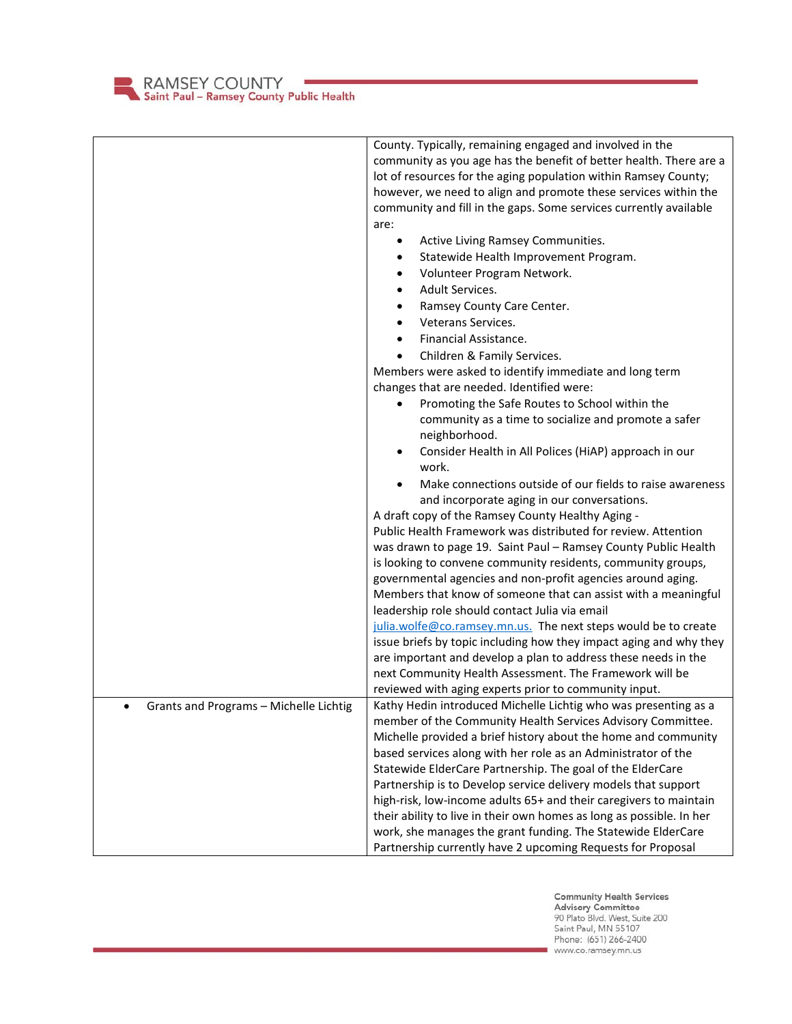RAMSEY COUNTY<br>Saint Paul – Ramsey County Public Health

|                                                     | County. Typically, remaining engaged and involved in the             |
|-----------------------------------------------------|----------------------------------------------------------------------|
|                                                     | community as you age has the benefit of better health. There are a   |
|                                                     | lot of resources for the aging population within Ramsey County;      |
|                                                     | however, we need to align and promote these services within the      |
|                                                     | community and fill in the gaps. Some services currently available    |
|                                                     | are:                                                                 |
|                                                     | Active Living Ramsey Communities.<br>$\bullet$                       |
|                                                     | Statewide Health Improvement Program.                                |
|                                                     | Volunteer Program Network.<br>$\bullet$                              |
|                                                     | Adult Services.<br>$\bullet$                                         |
|                                                     |                                                                      |
|                                                     | Ramsey County Care Center.<br>$\bullet$                              |
|                                                     | Veterans Services.<br>$\bullet$                                      |
|                                                     | Financial Assistance.<br>$\bullet$                                   |
|                                                     | Children & Family Services.                                          |
|                                                     | Members were asked to identify immediate and long term               |
|                                                     | changes that are needed. Identified were:                            |
|                                                     | Promoting the Safe Routes to School within the                       |
|                                                     | community as a time to socialize and promote a safer                 |
|                                                     | neighborhood.                                                        |
|                                                     | Consider Health in All Polices (HiAP) approach in our                |
|                                                     | work.                                                                |
|                                                     | Make connections outside of our fields to raise awareness            |
|                                                     | and incorporate aging in our conversations.                          |
|                                                     | A draft copy of the Ramsey County Healthy Aging -                    |
|                                                     | Public Health Framework was distributed for review. Attention        |
|                                                     | was drawn to page 19. Saint Paul - Ramsey County Public Health       |
|                                                     | is looking to convene community residents, community groups,         |
|                                                     | governmental agencies and non-profit agencies around aging.          |
|                                                     | Members that know of someone that can assist with a meaningful       |
|                                                     | leadership role should contact Julia via email                       |
|                                                     | julia.wolfe@co.ramsey.mn.us. The next steps would be to create       |
|                                                     | issue briefs by topic including how they impact aging and why they   |
|                                                     | are important and develop a plan to address these needs in the       |
|                                                     | next Community Health Assessment. The Framework will be              |
|                                                     | reviewed with aging experts prior to community input.                |
| Grants and Programs - Michelle Lichtig<br>$\bullet$ | Kathy Hedin introduced Michelle Lichtig who was presenting as a      |
|                                                     | member of the Community Health Services Advisory Committee.          |
|                                                     | Michelle provided a brief history about the home and community       |
|                                                     | based services along with her role as an Administrator of the        |
|                                                     | Statewide ElderCare Partnership. The goal of the ElderCare           |
|                                                     | Partnership is to Develop service delivery models that support       |
|                                                     | high-risk, low-income adults 65+ and their caregivers to maintain    |
|                                                     | their ability to live in their own homes as long as possible. In her |
|                                                     | work, she manages the grant funding. The Statewide ElderCare         |
|                                                     |                                                                      |
|                                                     | Partnership currently have 2 upcoming Requests for Proposal          |

Community Health Services<br>Advisory Committee<br>90 Plato Blvd. West, Suite 200<br>Saint Paul, MN 55107<br>Phone: (651) 266-2400<br>www.co.ramsey.mn.us